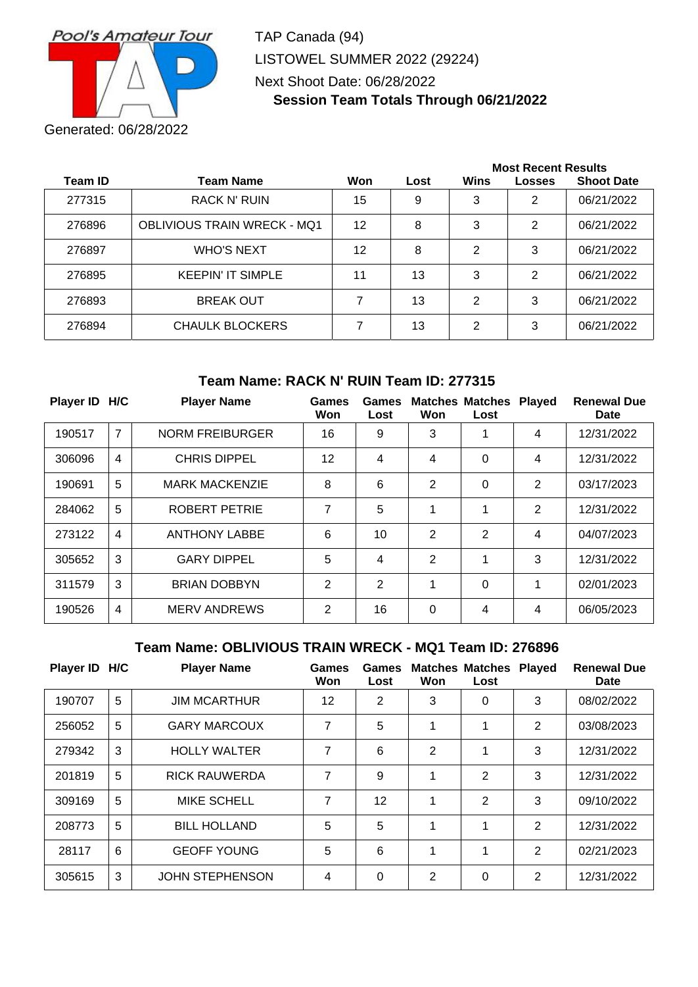

TAP Canada (94) LISTOWEL SUMMER 2022 (29224) Next Shoot Date: 06/28/2022 **Session Team Totals Through 06/21/2022**

|                |                                    |     |      | <b>Most Recent Results</b> |               |                   |  |
|----------------|------------------------------------|-----|------|----------------------------|---------------|-------------------|--|
| <b>Team ID</b> | <b>Team Name</b>                   | Won | Lost | Wins                       | <b>Losses</b> | <b>Shoot Date</b> |  |
| 277315         | <b>RACK N' RUIN</b>                | 15  | 9    | 3                          | 2             | 06/21/2022        |  |
| 276896         | <b>OBLIVIOUS TRAIN WRECK - MQ1</b> | 12  | 8    | 3                          | 2             | 06/21/2022        |  |
| 276897         | <b>WHO'S NEXT</b>                  | 12  | 8    | 2                          | 3             | 06/21/2022        |  |
| 276895         | <b>KEEPIN' IT SIMPLE</b>           | 11  | 13   | 3                          | 2             | 06/21/2022        |  |
| 276893         | <b>BREAK OUT</b>                   |     | 13   | 2                          | 3             | 06/21/2022        |  |
| 276894         | <b>CHAULK BLOCKERS</b>             | 7   | 13   | 2                          | 3             | 06/21/2022        |  |

### **Team Name: RACK N' RUIN Team ID: 277315**

| <b>Player ID</b> | H/C            | <b>Player Name</b>     | Games<br>Won | Games<br>Lost  | Won            | <b>Matches Matches</b><br>Lost | <b>Played</b>  | <b>Renewal Due</b><br><b>Date</b> |
|------------------|----------------|------------------------|--------------|----------------|----------------|--------------------------------|----------------|-----------------------------------|
| 190517           | 7              | <b>NORM FREIBURGER</b> | 16           | 9              | 3              |                                | 4              | 12/31/2022                        |
| 306096           | $\overline{4}$ | <b>CHRIS DIPPEL</b>    | 12           | $\overline{4}$ | 4              | 0                              | 4              | 12/31/2022                        |
| 190691           | 5              | <b>MARK MACKENZIE</b>  | 8            | 6              | $\overline{2}$ | 0                              | $\overline{2}$ | 03/17/2023                        |
| 284062           | 5              | <b>ROBERT PETRIE</b>   | 7            | 5              | 1              | 1                              | $\overline{2}$ | 12/31/2022                        |
| 273122           | $\overline{4}$ | <b>ANTHONY LABBE</b>   | 6            | 10             | $\overline{2}$ | 2                              | 4              | 04/07/2023                        |
| 305652           | 3              | <b>GARY DIPPEL</b>     | 5            | 4              | $\overline{2}$ | 1                              | 3              | 12/31/2022                        |
| 311579           | 3              | <b>BRIAN DOBBYN</b>    | 2            | $\overline{2}$ | 1              | 0                              | 1              | 02/01/2023                        |
| 190526           | $\overline{4}$ | <b>MERV ANDREWS</b>    | 2            | 16             | $\Omega$       | 4                              | 4              | 06/05/2023                        |

### **Team Name: OBLIVIOUS TRAIN WRECK - MQ1 Team ID: 276896**

| Player ID H/C |   | <b>Player Name</b>     | <b>Games</b><br>Won | Games<br>Lost  | Won            | <b>Matches Matches</b><br>Lost | <b>Played</b> | <b>Renewal Due</b><br><b>Date</b> |
|---------------|---|------------------------|---------------------|----------------|----------------|--------------------------------|---------------|-----------------------------------|
| 190707        | 5 | <b>JIM MCARTHUR</b>    | 12                  | $\overline{2}$ | 3              | 0                              | 3             | 08/02/2022                        |
| 256052        | 5 | <b>GARY MARCOUX</b>    | 7                   | 5              | 1              | 1                              | 2             | 03/08/2023                        |
| 279342        | 3 | <b>HOLLY WALTER</b>    | 7                   | 6              | $\overline{2}$ | 1                              | 3             | 12/31/2022                        |
| 201819        | 5 | <b>RICK RAUWERDA</b>   | 7                   | 9              | 1              | 2                              | 3             | 12/31/2022                        |
| 309169        | 5 | <b>MIKE SCHELL</b>     | 7                   | 12             | 1              | 2                              | 3             | 09/10/2022                        |
| 208773        | 5 | <b>BILL HOLLAND</b>    | 5                   | 5              | 1              | 1                              | 2             | 12/31/2022                        |
| 28117         | 6 | <b>GEOFF YOUNG</b>     | 5                   | 6              | 1              | 1                              | 2             | 02/21/2023                        |
| 305615        | 3 | <b>JOHN STEPHENSON</b> | 4                   | $\Omega$       | 2              | 0                              | $\mathcal{P}$ | 12/31/2022                        |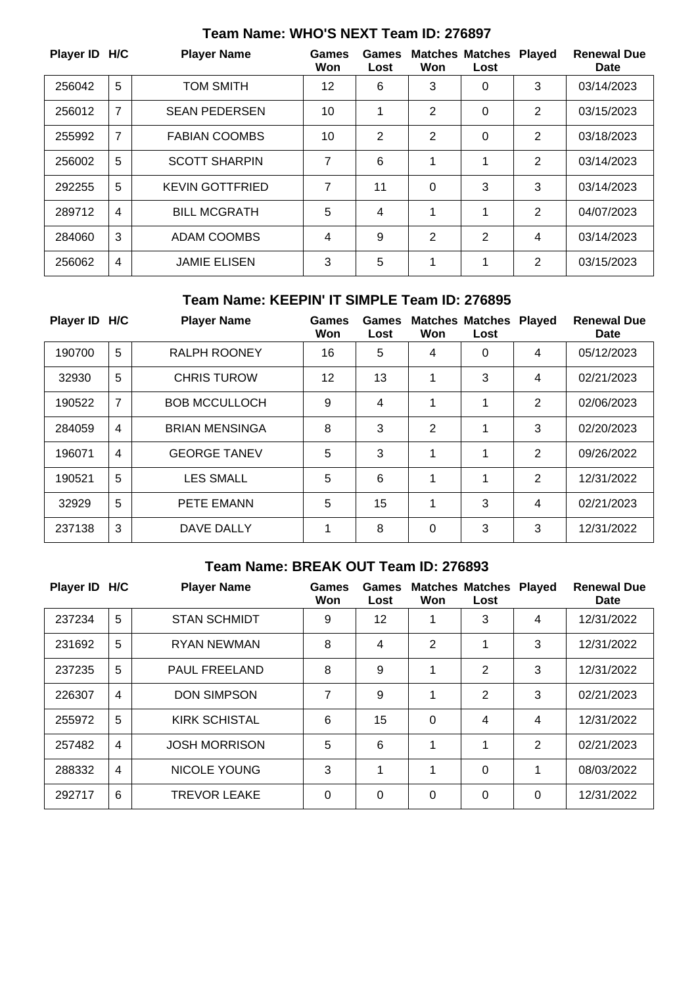| Player ID H/C |                | <b>Player Name</b>     | Games<br>Won | <b>Games</b><br>Lost | Won            | <b>Matches Matches</b><br>Lost | <b>Played</b>  | <b>Renewal Due</b><br><b>Date</b> |
|---------------|----------------|------------------------|--------------|----------------------|----------------|--------------------------------|----------------|-----------------------------------|
| 256042        | 5              | <b>TOM SMITH</b>       | 12           | 6                    | 3              | 0                              | 3              | 03/14/2023                        |
| 256012        | 7              | <b>SEAN PEDERSEN</b>   | 10           | 1                    | $\overline{2}$ | 0                              | 2              | 03/15/2023                        |
| 255992        | $\overline{7}$ | <b>FABIAN COOMBS</b>   | 10           | 2                    | 2              | 0                              | $\overline{2}$ | 03/18/2023                        |
| 256002        | 5              | <b>SCOTT SHARPIN</b>   | 7            | 6                    | 1              | 1                              | 2              | 03/14/2023                        |
| 292255        | 5              | <b>KEVIN GOTTFRIED</b> | 7            | 11                   | 0              | 3                              | 3              | 03/14/2023                        |
| 289712        | $\overline{4}$ | <b>BILL MCGRATH</b>    | 5            | 4                    | 1              | 1                              | $\overline{2}$ | 04/07/2023                        |
| 284060        | 3              | ADAM COOMBS            | 4            | 9                    | $\overline{2}$ | 2                              | 4              | 03/14/2023                        |
| 256062        | 4              | <b>JAMIE ELISEN</b>    | 3            | 5                    | 1              | 1                              | 2              | 03/15/2023                        |

# **Team Name: WHO'S NEXT Team ID: 276897**

## **Team Name: KEEPIN' IT SIMPLE Team ID: 276895**

| Player ID H/C |   | <b>Player Name</b>    | <b>Games</b><br>Won | Games<br>Lost | Won | <b>Matches Matches</b><br>Lost | <b>Played</b>  | <b>Renewal Due</b><br><b>Date</b> |
|---------------|---|-----------------------|---------------------|---------------|-----|--------------------------------|----------------|-----------------------------------|
| 190700        | 5 | <b>RALPH ROONEY</b>   | 16                  | 5             | 4   | 0                              | 4              | 05/12/2023                        |
| 32930         | 5 | <b>CHRIS TUROW</b>    | 12                  | 13            | 1   | 3                              | 4              | 02/21/2023                        |
| 190522        | 7 | <b>BOB MCCULLOCH</b>  | 9                   | 4             | 1   | 1                              | 2              | 02/06/2023                        |
| 284059        | 4 | <b>BRIAN MENSINGA</b> | 8                   | 3             | 2   | 1                              | 3              | 02/20/2023                        |
| 196071        | 4 | <b>GEORGE TANEV</b>   | 5                   | 3             | 1   | 1                              | 2              | 09/26/2022                        |
| 190521        | 5 | <b>LES SMALL</b>      | 5                   | 6             | 1   | 1                              | $\overline{2}$ | 12/31/2022                        |
| 32929         | 5 | <b>PETE EMANN</b>     | 5                   | 15            | 1   | 3                              | 4              | 02/21/2023                        |
| 237138        | 3 | DAVE DALLY            | 1                   | 8             | 0   | 3                              | 3              | 12/31/2022                        |

# **Team Name: BREAK OUT Team ID: 276893**

| Player ID H/C |                | <b>Player Name</b>   | Games<br>Won | Games<br>Lost | Won | <b>Matches Matches</b><br>Lost | <b>Played</b>  | <b>Renewal Due</b><br><b>Date</b> |
|---------------|----------------|----------------------|--------------|---------------|-----|--------------------------------|----------------|-----------------------------------|
| 237234        | 5              | <b>STAN SCHMIDT</b>  | 9            | 12            | 1   | 3                              | 4              | 12/31/2022                        |
| 231692        | 5              | <b>RYAN NEWMAN</b>   | 8            | 4             | 2   | 1                              | 3              | 12/31/2022                        |
| 237235        | 5              | <b>PAUL FREELAND</b> | 8            | 9             | 1   | $\overline{2}$                 | 3              | 12/31/2022                        |
| 226307        | $\overline{4}$ | <b>DON SIMPSON</b>   | 7            | 9             | 1   | $\overline{2}$                 | 3              | 02/21/2023                        |
| 255972        | 5              | <b>KIRK SCHISTAL</b> | 6            | 15            | 0   | 4                              | 4              | 12/31/2022                        |
| 257482        | $\overline{4}$ | <b>JOSH MORRISON</b> | 5            | 6             | 1   | 1                              | $\overline{2}$ | 02/21/2023                        |
| 288332        | 4              | <b>NICOLE YOUNG</b>  | 3            | 1             | 1   | $\Omega$                       | 1              | 08/03/2022                        |
| 292717        | 6              | <b>TREVOR LEAKE</b>  | $\mathbf{0}$ | 0             | 0   | 0                              | 0              | 12/31/2022                        |